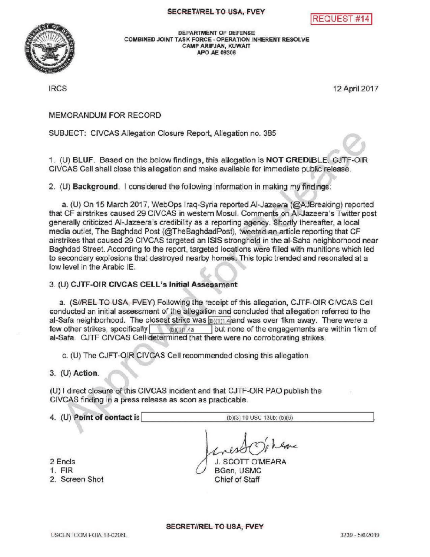## SECRETIREL TO USA, FVEY





DEPARTMENT OF DEFENSE COMBINED JOINT TASK FORCE - OPERATION INHERENT RESOLVE CAMPARIFJAN, KUWAIT APO AE 09306

IRCS 12 April2017

MEMORANDUM FOR RECORD

SUBJECT: CIVCASAllegation Closure Report, Allegation no. 385

1. (U) BLUF. Based on the below findings, this allegation is NOT CREDIBLE. GJTF-OIR CIVCAS Cell shall close this allegation and make available for immediate public release.

2. (U) Background. I considered the following information in making my findings:

a. (U) On 15 March 2017, WebOps Iraq-Syria reported Al-Jazeera (@AJBreaking) reported that CF airstrikes caused 29 CIVCAS in western Mosul. Comments on Al-Jazeera's Twitter post generally criticized Al-Jazeera's credibility as a reporting agency. Shortly thereafter, a local media outlet, The Baghdad Post (@TheBaghdadPost), tweeted an article reporting that CF airstrikes that caused 29 CIVCAS targeted an ISIS stronghold in the al-Saha neighborhood near Baghdad Street. According to the report, targeted locations were filled with munitionswhich led to secondary explosions that destroyed nearby homes. This topic trended and resonated at a low levelin the Arabic IE.

3. (U) CJTF-OIR CIVCAS CELL's Initial Assessment

a. (S//REL TO USA, FVEY) Following the receipt of this allegation, CJTF-OIR CIVCAS Cell conducted an initial assessment of the allegation and concluded that allegation referred to the al-Safa neighborhood. The closest strike was  $[b](1)$ 1.4 and was over 1km away. There were a few other strikes, specifically  $(b)(1)$  1.4 but none of the engagements are within 1km of al-Safa. CJTF CIVCAS Cell determined that there were no corroborating strikes.

c. (U) The CJFT-OIR CIVCAS Cell recommended closing this allegation.

 $3.$  (U) Action.

(U) I direct closure of this CIVCAS incident and that CJTF -OIR PAO publish the CIVCAS finding in a press release as soon as practicable.

4. (U) Point of contact is  $(b)(3) 10 \text{ USC } 130b$ ; (b)(6)

here

2 Encls

- 1. FIR
- 2. Screen Shot

J. SCOTT O'MEARA BGen, USMC Chief of Staff

SECRETIREL TO USA, FVEY